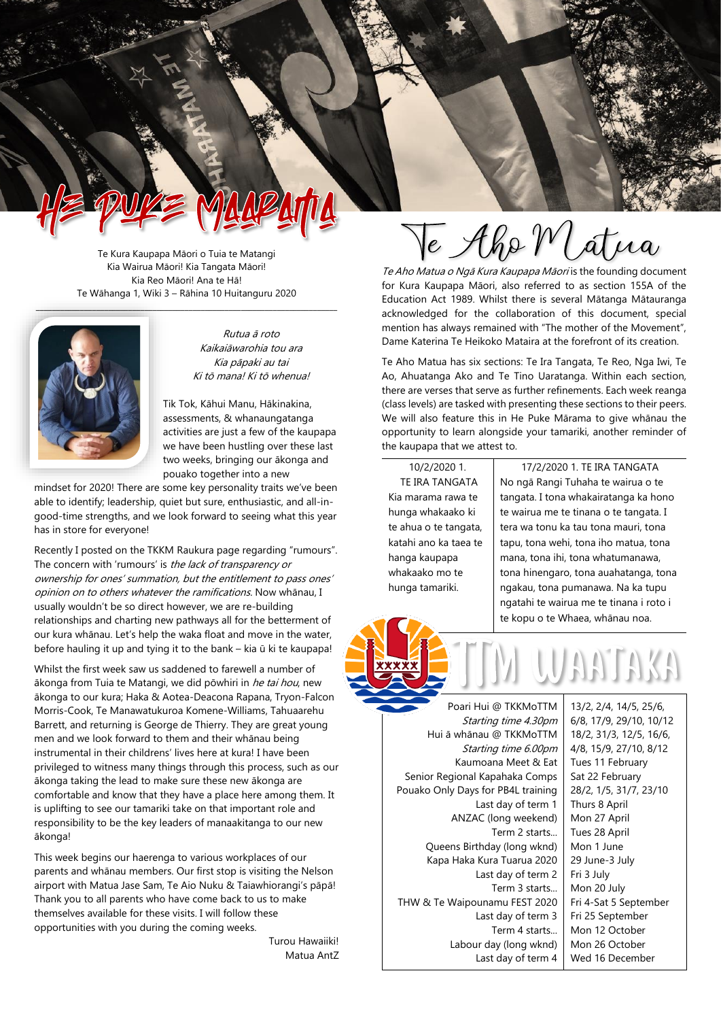Te Kura Kaupapa Māori o Tuia te Matangi Kia Wairua Māori! Kia Tangata Māori! Kia Reo Māori! Ana te Hā! Te Wāhanga 1, Wiki 3 – Rāhina 10 Huitanguru 2020



Rutua ā roto Kaikaiāwarohia tou ara Kia pāpaki au tai Ki tō mana! Ki tō whenua!

Tik Tok, Kāhui Manu, Hākinakina, assessments, & whanaungatanga activities are just a few of the kaupapa we have been hustling over these last two weeks, bringing our ākonga and pouako together into a new

mindset for 2020! There are some key personality traits we've been able to identify; leadership, quiet but sure, enthusiastic, and all-ingood-time strengths, and we look forward to seeing what this year has in store for everyone!

Recently I posted on the TKKM Raukura page regarding "rumours". The concern with 'rumours' is the lack of transparency or ownership for ones' summation, but the entitlement to pass ones' opinion on to others whatever the ramifications. Now whānau, I usually wouldn't be so direct however, we are re-building relationships and charting new pathways all for the betterment of our kura whānau. Let's help the waka float and move in the water, before hauling it up and tying it to the bank – kia ū ki te kaupapa!

Whilst the first week saw us saddened to farewell a number of ākonga from Tuia te Matangi, we did pōwhiri in he tai hou, new ākonga to our kura; Haka & Aotea-Deacona Rapana, Tryon-Falcon Morris-Cook, Te Manawatukuroa Komene-Williams, Tahuaarehu Barrett, and returning is George de Thierry. They are great young men and we look forward to them and their whānau being instrumental in their childrens' lives here at kura! I have been privileged to witness many things through this process, such as our ākonga taking the lead to make sure these new ākonga are comfortable and know that they have a place here among them. It is uplifting to see our tamariki take on that important role and responsibility to be the key leaders of manaakitanga to our new ākonga!

This week begins our haerenga to various workplaces of our parents and whānau members. Our first stop is visiting the Nelson airport with Matua Jase Sam, Te Aio Nuku & Taiawhiorangi's pāpā! Thank you to all parents who have come back to us to make themselves available for these visits. I will follow these opportunities with you during the coming weeks.

> Turou Hawaiiki! Matua AntZ

Te Aho Matua

Te Aho Matua o Ngā Kura Kaupapa Māori is the founding document for Kura Kaupapa Māori, also referred to as section 155A of the Education Act 1989. Whilst there is several Mātanga Mātauranga acknowledged for the collaboration of this document, special mention has always remained with "The mother of the Movement", Dame Katerina Te Heikoko Mataira at the forefront of its creation.

Te Aho Matua has six sections: Te Ira Tangata, Te Reo, Nga Iwi, Te Ao, Ahuatanga Ako and Te Tino Uaratanga. Within each section, there are verses that serve as further refinements. Each week reanga (class levels) are tasked with presenting these sections to their peers. We will also feature this in He Puke Mārama to give whānau the opportunity to learn alongside your tamariki, another reminder of the kaupapa that we attest to.

10/2/2020 1. TE IRA TANGATA Kia marama rawa te hunga whakaako ki te ahua o te tangata, katahi ano ka taea te hanga kaupapa whakaako mo te hunga tamariki.

17/2/2020 1. TE IRA TANGATA No ngā Rangi Tuhaha te wairua o te tangata. I tona whakairatanga ka hono te wairua me te tinana o te tangata. I tera wa tonu ka tau tona mauri, tona tapu, tona wehi, tona iho matua, tona mana, tona ihi, tona whatumanawa, tona hinengaro, tona auahatanga, tona ngakau, tona pumanawa. Na ka tupu ngatahi te wairua me te tinana i roto i te kopu o te Whaea, whānau noa.



AA AKA

Poari Hui @ TKKMoTTM Starting time 4.30pm Hui ā whānau @ TKKMoTTM Starting time 6.00pm Kaumoana Meet & Eat Senior Regional Kapahaka Comps Pouako Only Days for PB4L training Last day of term 1 ANZAC (long weekend) Term 2 starts... Queens Birthday (long wknd) Kapa Haka Kura Tuarua 2020 Last day of term 2 Term 3 starts... THW & Te Waipounamu FEST 2020 Last day of term 3 Term 4 starts... Labour day (long wknd) Last day of term 4

13/2, 2/4, 14/5, 25/6, 6/8, 17/9, 29/10, 10/12 18/2, 31/3, 12/5, 16/6, 4/8, 15/9, 27/10, 8/12 Tues 11 February Sat 22 February 28/2, 1/5, 31/7, 23/10 Thurs 8 April Mon 27 April Tues 28 April Mon 1 June 29 June-3 July Fri 3 July Mon 20 July Fri 4-Sat 5 September Fri 25 September Mon 12 October Mon 26 October Wed 16 December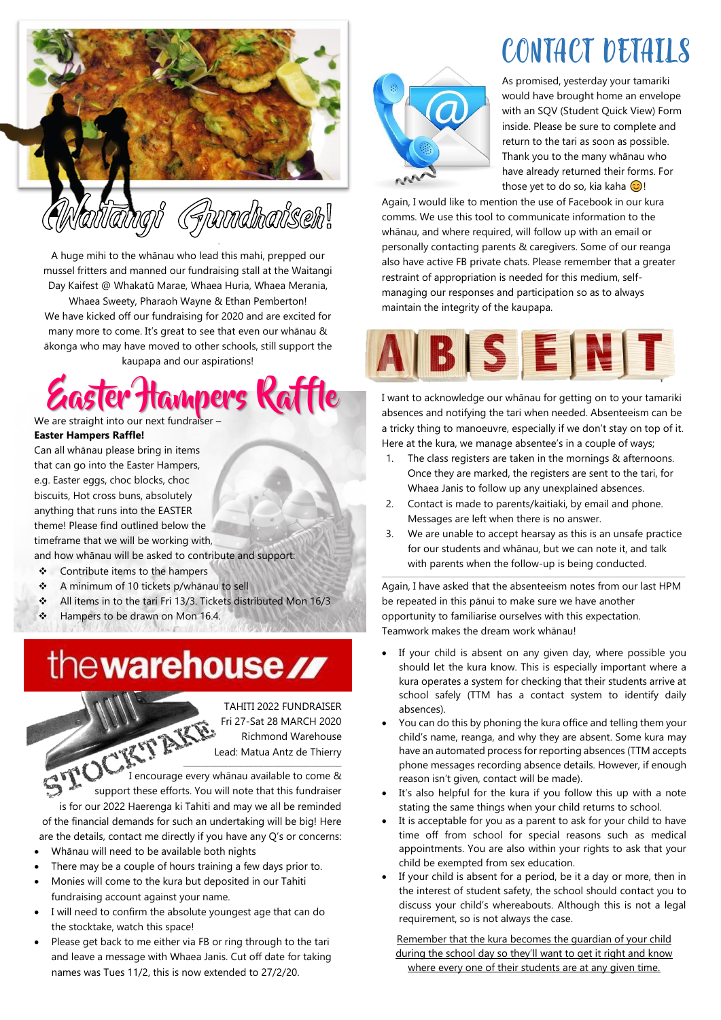

A huge mihi to the whānau who lead this mahi, prepped our mussel fritters and manned our fundraising stall at the Waitangi Day Kaifest @ Whakatū Marae, Whaea Huria, Whaea Merania, Whaea Sweety, Pharaoh Wayne & Ethan Pemberton! We have kicked off our fundraising for 2020 and are excited for many more to come. It's great to see that even our whānau & ākonga who may have moved to other schools, still support the

kaupapa and our aspirations!

Hampers Kattle We are straight into our next fundrais

**Easter Hampers Raffle!**

Can all whānau please bring in items that can go into the Easter Hampers, e.g. Easter eggs, choc blocks, choc biscuits, Hot cross buns, absolutely anything that runs into the EASTER theme! Please find outlined below the timeframe that we will be working with,

and how whānau will be asked to contribute and support:

- ❖ Contribute items to the hampers
- ❖ A minimum of 10 tickets p/whānau to sell
- ❖ All items in to the tari Fri 13/3. Tickets distributed Mon 16/3
- Hampers to be drawn on Mon 16.4.

## the warehouse //

TAHITI 2022 FUNDRAISER Fri 27-Sat 28 MARCH 2020 Richmond Warehouse Lead: Matua Antz de Thierry

 $\mathcal{L}^{\text{H}}$ I encourage every whānau available to come & support these efforts. You will note that this fundraiser is for our 2022 Haerenga ki Tahiti and may we all be reminded of the financial demands for such an undertaking will be big! Here are the details, contact me directly if you have any Q's or concerns:

- Whānau will need to be available both nights
- There may be a couple of hours training a few days prior to.
- Monies will come to the kura but deposited in our Tahiti fundraising account against your name.
- I will need to confirm the absolute youngest age that can do the stocktake, watch this space!
- Please get back to me either via FB or ring through to the tari and leave a message with Whaea Janis. Cut off date for taking names was Tues 11/2, this is now extended to 27/2/20.

# CONTACT DETAILS



As promised, yesterday your tamariki would have brought home an envelope with an SQV (Student Quick View) Form inside. Please be sure to complete and return to the tari as soon as possible. Thank you to the many whānau who have already returned their forms. For those yet to do so, kia kaha  $\odot$ !

Again, I would like to mention the use of Facebook in our kura comms. We use this tool to communicate information to the whānau, and where required, will follow up with an email or personally contacting parents & caregivers. Some of our reanga also have active FB private chats. Please remember that a greater restraint of appropriation is needed for this medium, selfmanaging our responses and participation so as to always maintain the integrity of the kaupapa.



I want to acknowledge our whānau for getting on to your tamariki absences and notifying the tari when needed. Absenteeism can be a tricky thing to manoeuvre, especially if we don't stay on top of it. Here at the kura, we manage absentee's in a couple of ways;

- 1. The class registers are taken in the mornings & afternoons. Once they are marked, the registers are sent to the tari, for Whaea Janis to follow up any unexplained absences.
- 2. Contact is made to parents/kaitiaki, by email and phone. Messages are left when there is no answer.
- 3. We are unable to accept hearsay as this is an unsafe practice for our students and whānau, but we can note it, and talk with parents when the follow-up is being conducted.

Again, I have asked that the absenteeism notes from our last HPM be repeated in this pānui to make sure we have another opportunity to familiarise ourselves with this expectation. Teamwork makes the dream work whānau!

 $\mathcal{L}_\text{max} = \mathcal{L}_\text{max} = \mathcal{L}_\text{max} = \mathcal{L}_\text{max} = \mathcal{L}_\text{max} = \mathcal{L}_\text{max} = \mathcal{L}_\text{max} = \mathcal{L}_\text{max} = \mathcal{L}_\text{max} = \mathcal{L}_\text{max} = \mathcal{L}_\text{max} = \mathcal{L}_\text{max} = \mathcal{L}_\text{max} = \mathcal{L}_\text{max} = \mathcal{L}_\text{max} = \mathcal{L}_\text{max} = \mathcal{L}_\text{max} = \mathcal{L}_\text{max} = \mathcal{$ 

- If your child is absent on any given day, where possible you should let the kura know. This is especially important where a kura operates a system for checking that their students arrive at school safely (TTM has a contact system to identify daily absences).
- You can do this by phoning the kura office and telling them your child's name, reanga, and why they are absent. Some kura may have an automated process for reporting absences (TTM accepts phone messages recording absence details. However, if enough reason isn't given, contact will be made).
- It's also helpful for the kura if you follow this up with a note stating the same things when your child returns to school.
- It is acceptable for you as a parent to ask for your child to have time off from school for special reasons such as medical appointments. You are also within your rights to ask that your child be exempted from sex education.
- If your child is absent for a period, be it a day or more, then in the interest of student safety, the school should contact you to discuss your child's whereabouts. Although this is not a legal requirement, so is not always the case.

Remember that the kura becomes the guardian of your child during the school day so they'll want to get it right and know where every one of their students are at any given time.